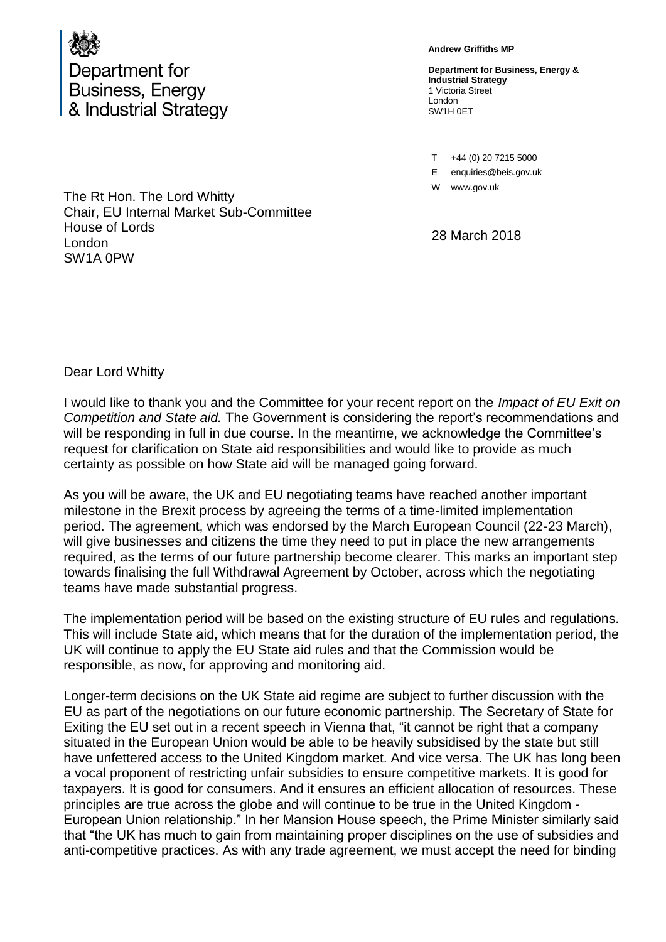

**Andrew Griffiths MP**

**Department for Business, Energy & Industrial Strategy** 1 Victoria Street London SW1H 0ET

T +44 (0) 20 7215 5000

E enquiries@beis.gov.uk

W www.gov.uk

28 March 2018

The Rt Hon. The Lord Whitty Chair, EU Internal Market Sub-Committee House of Lords London SW1A 0PW

Dear Lord Whitty

I would like to thank you and the Committee for your recent report on the *Impact of EU Exit on Competition and State aid.* The Government is considering the report's recommendations and will be responding in full in due course. In the meantime, we acknowledge the Committee's request for clarification on State aid responsibilities and would like to provide as much certainty as possible on how State aid will be managed going forward.

As you will be aware, the UK and EU negotiating teams have reached another important milestone in the Brexit process by agreeing the terms of a time-limited implementation period. The agreement, which was endorsed by the March European Council (22-23 March), will give businesses and citizens the time they need to put in place the new arrangements required, as the terms of our future partnership become clearer. This marks an important step towards finalising the full Withdrawal Agreement by October, across which the negotiating teams have made substantial progress.

The implementation period will be based on the existing structure of EU rules and regulations. This will include State aid, which means that for the duration of the implementation period, the UK will continue to apply the EU State aid rules and that the Commission would be responsible, as now, for approving and monitoring aid.

Longer-term decisions on the UK State aid regime are subject to further discussion with the EU as part of the negotiations on our future economic partnership. The Secretary of State for Exiting the EU set out in a recent speech in Vienna that, "it cannot be right that a company situated in the European Union would be able to be heavily subsidised by the state but still have unfettered access to the United Kingdom market. And vice versa. The UK has long been a vocal proponent of restricting unfair subsidies to ensure competitive markets. It is good for taxpayers. It is good for consumers. And it ensures an efficient allocation of resources. These principles are true across the globe and will continue to be true in the United Kingdom - European Union relationship." In her Mansion House speech, the Prime Minister similarly said that "the UK has much to gain from maintaining proper disciplines on the use of subsidies and anti-competitive practices. As with any trade agreement, we must accept the need for binding